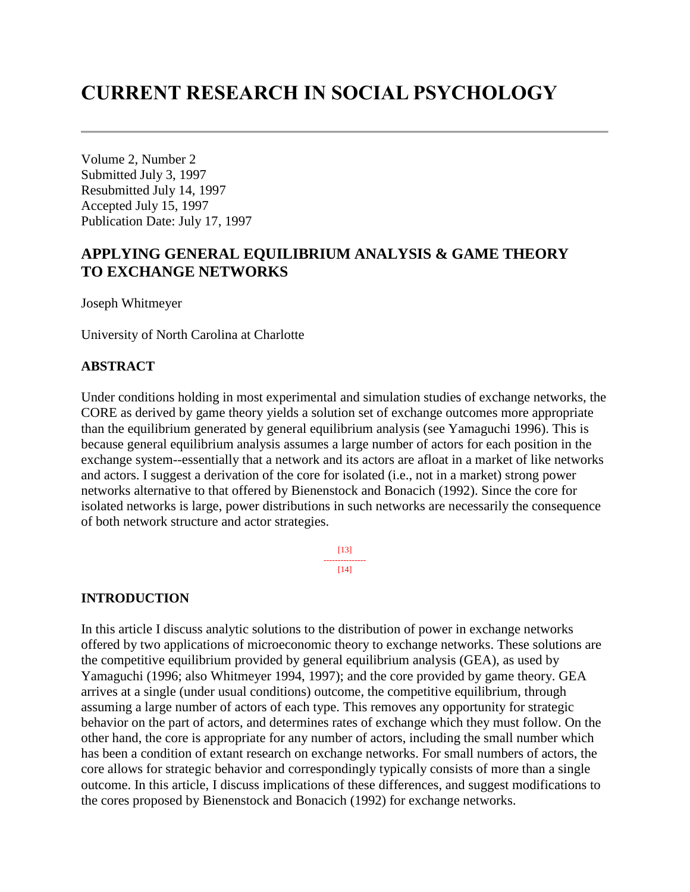# **CURRENT RESEARCH IN SOCIAL PSYCHOLOGY**

Volume 2, Number 2 Submitted July 3, 1997 Resubmitted July 14, 1997 Accepted July 15, 1997 Publication Date: July 17, 1997

# **APPLYING GENERAL EQUILIBRIUM ANALYSIS & GAME THEORY TO EXCHANGE NETWORKS**

Joseph Whitmeyer

University of North Carolina at Charlotte

#### **ABSTRACT**

Under conditions holding in most experimental and simulation studies of exchange networks, the CORE as derived by game theory yields a solution set of exchange outcomes more appropriate than the equilibrium generated by general equilibrium analysis (see Yamaguchi 1996). This is because general equilibrium analysis assumes a large number of actors for each position in the exchange system--essentially that a network and its actors are afloat in a market of like networks and actors. I suggest a derivation of the core for isolated (i.e., not in a market) strong power networks alternative to that offered by Bienenstock and Bonacich (1992). Since the core for isolated networks is large, power distributions in such networks are necessarily the consequence of both network structure and actor strategies.

> [13] ---------------  $[14]$

#### **INTRODUCTION**

In this article I discuss analytic solutions to the distribution of power in exchange networks offered by two applications of microeconomic theory to exchange networks. These solutions are the competitive equilibrium provided by general equilibrium analysis (GEA), as used by Yamaguchi (1996; also Whitmeyer 1994, 1997); and the core provided by game theory. GEA arrives at a single (under usual conditions) outcome, the competitive equilibrium, through assuming a large number of actors of each type. This removes any opportunity for strategic behavior on the part of actors, and determines rates of exchange which they must follow. On the other hand, the core is appropriate for any number of actors, including the small number which has been a condition of extant research on exchange networks. For small numbers of actors, the core allows for strategic behavior and correspondingly typically consists of more than a single outcome. In this article, I discuss implications of these differences, and suggest modifications to the cores proposed by Bienenstock and Bonacich (1992) for exchange networks.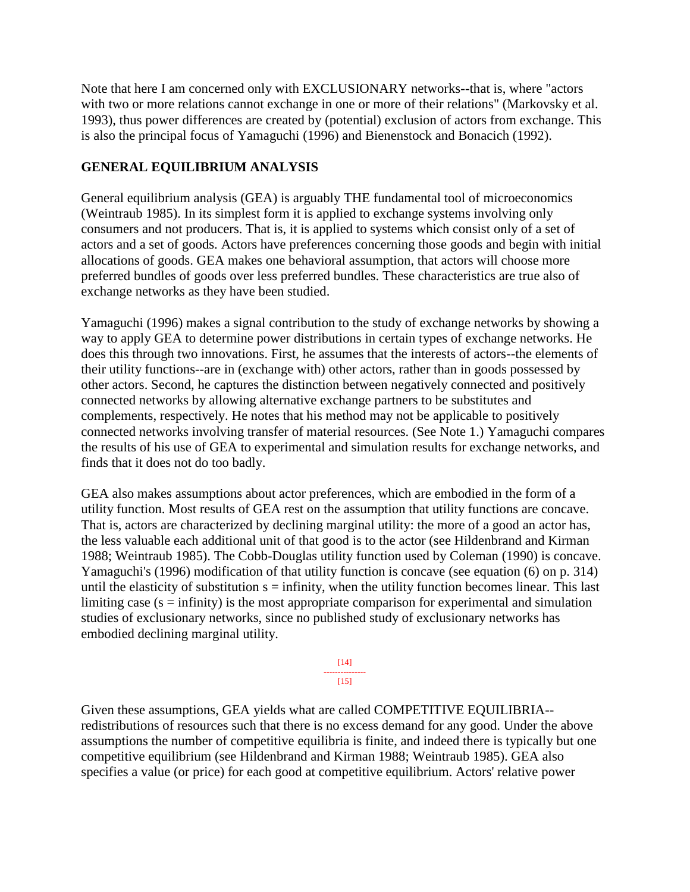Note that here I am concerned only with EXCLUSIONARY networks--that is, where "actors with two or more relations cannot exchange in one or more of their relations" (Markovsky et al. 1993), thus power differences are created by (potential) exclusion of actors from exchange. This is also the principal focus of Yamaguchi (1996) and Bienenstock and Bonacich (1992).

### **GENERAL EQUILIBRIUM ANALYSIS**

General equilibrium analysis (GEA) is arguably THE fundamental tool of microeconomics (Weintraub 1985). In its simplest form it is applied to exchange systems involving only consumers and not producers. That is, it is applied to systems which consist only of a set of actors and a set of goods. Actors have preferences concerning those goods and begin with initial allocations of goods. GEA makes one behavioral assumption, that actors will choose more preferred bundles of goods over less preferred bundles. These characteristics are true also of exchange networks as they have been studied.

Yamaguchi (1996) makes a signal contribution to the study of exchange networks by showing a way to apply GEA to determine power distributions in certain types of exchange networks. He does this through two innovations. First, he assumes that the interests of actors--the elements of their utility functions--are in (exchange with) other actors, rather than in goods possessed by other actors. Second, he captures the distinction between negatively connected and positively connected networks by allowing alternative exchange partners to be substitutes and complements, respectively. He notes that his method may not be applicable to positively connected networks involving transfer of material resources. (See Note 1.) Yamaguchi compares the results of his use of GEA to experimental and simulation results for exchange networks, and finds that it does not do too badly.

GEA also makes assumptions about actor preferences, which are embodied in the form of a utility function. Most results of GEA rest on the assumption that utility functions are concave. That is, actors are characterized by declining marginal utility: the more of a good an actor has, the less valuable each additional unit of that good is to the actor (see Hildenbrand and Kirman 1988; Weintraub 1985). The Cobb-Douglas utility function used by Coleman (1990) is concave. Yamaguchi's (1996) modification of that utility function is concave (see equation (6) on p. 314) until the elasticity of substitution  $s =$  infinity, when the utility function becomes linear. This last limiting case  $(s = \text{infinity})$  is the most appropriate comparison for experimental and simulation studies of exclusionary networks, since no published study of exclusionary networks has embodied declining marginal utility.

> [14] --------------- [15]

Given these assumptions, GEA yields what are called COMPETITIVE EQUILIBRIA- redistributions of resources such that there is no excess demand for any good. Under the above assumptions the number of competitive equilibria is finite, and indeed there is typically but one competitive equilibrium (see Hildenbrand and Kirman 1988; Weintraub 1985). GEA also specifies a value (or price) for each good at competitive equilibrium. Actors' relative power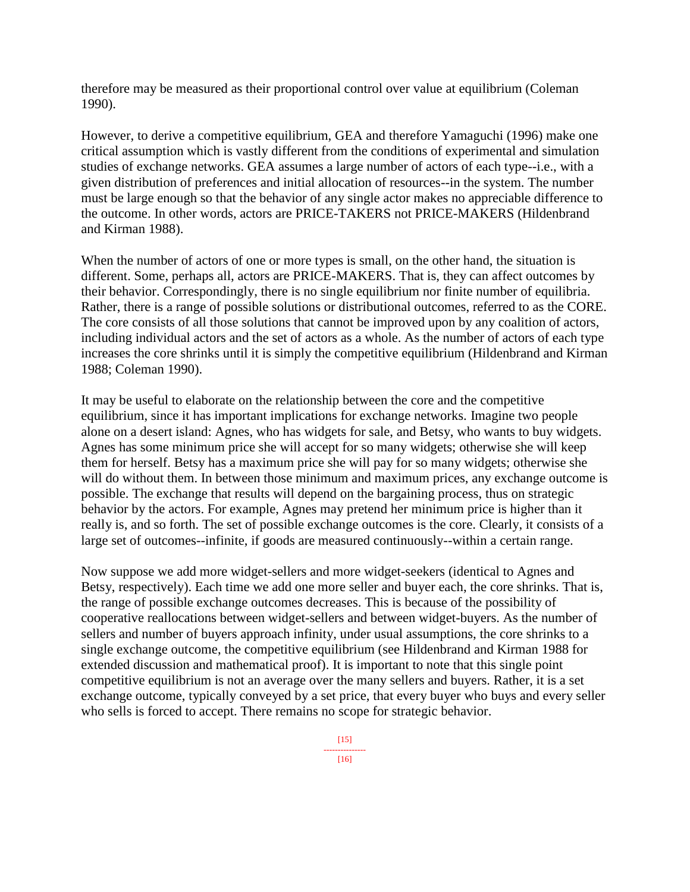therefore may be measured as their proportional control over value at equilibrium (Coleman 1990).

However, to derive a competitive equilibrium, GEA and therefore Yamaguchi (1996) make one critical assumption which is vastly different from the conditions of experimental and simulation studies of exchange networks. GEA assumes a large number of actors of each type--i.e., with a given distribution of preferences and initial allocation of resources--in the system. The number must be large enough so that the behavior of any single actor makes no appreciable difference to the outcome. In other words, actors are PRICE-TAKERS not PRICE-MAKERS (Hildenbrand and Kirman 1988).

When the number of actors of one or more types is small, on the other hand, the situation is different. Some, perhaps all, actors are PRICE-MAKERS. That is, they can affect outcomes by their behavior. Correspondingly, there is no single equilibrium nor finite number of equilibria. Rather, there is a range of possible solutions or distributional outcomes, referred to as the CORE. The core consists of all those solutions that cannot be improved upon by any coalition of actors, including individual actors and the set of actors as a whole. As the number of actors of each type increases the core shrinks until it is simply the competitive equilibrium (Hildenbrand and Kirman 1988; Coleman 1990).

It may be useful to elaborate on the relationship between the core and the competitive equilibrium, since it has important implications for exchange networks. Imagine two people alone on a desert island: Agnes, who has widgets for sale, and Betsy, who wants to buy widgets. Agnes has some minimum price she will accept for so many widgets; otherwise she will keep them for herself. Betsy has a maximum price she will pay for so many widgets; otherwise she will do without them. In between those minimum and maximum prices, any exchange outcome is possible. The exchange that results will depend on the bargaining process, thus on strategic behavior by the actors. For example, Agnes may pretend her minimum price is higher than it really is, and so forth. The set of possible exchange outcomes is the core. Clearly, it consists of a large set of outcomes--infinite, if goods are measured continuously--within a certain range.

Now suppose we add more widget-sellers and more widget-seekers (identical to Agnes and Betsy, respectively). Each time we add one more seller and buyer each, the core shrinks. That is, the range of possible exchange outcomes decreases. This is because of the possibility of cooperative reallocations between widget-sellers and between widget-buyers. As the number of sellers and number of buyers approach infinity, under usual assumptions, the core shrinks to a single exchange outcome, the competitive equilibrium (see Hildenbrand and Kirman 1988 for extended discussion and mathematical proof). It is important to note that this single point competitive equilibrium is not an average over the many sellers and buyers. Rather, it is a set exchange outcome, typically conveyed by a set price, that every buyer who buys and every seller who sells is forced to accept. There remains no scope for strategic behavior.

--------------- [16]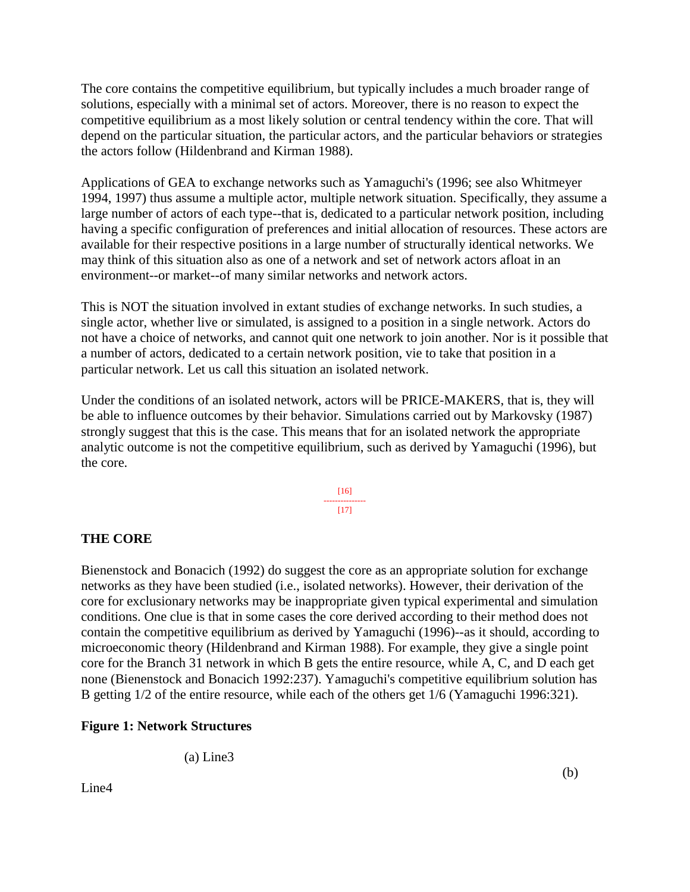The core contains the competitive equilibrium, but typically includes a much broader range of solutions, especially with a minimal set of actors. Moreover, there is no reason to expect the competitive equilibrium as a most likely solution or central tendency within the core. That will depend on the particular situation, the particular actors, and the particular behaviors or strategies the actors follow (Hildenbrand and Kirman 1988).

Applications of GEA to exchange networks such as Yamaguchi's (1996; see also Whitmeyer 1994, 1997) thus assume a multiple actor, multiple network situation. Specifically, they assume a large number of actors of each type--that is, dedicated to a particular network position, including having a specific configuration of preferences and initial allocation of resources. These actors are available for their respective positions in a large number of structurally identical networks. We may think of this situation also as one of a network and set of network actors afloat in an environment--or market--of many similar networks and network actors.

This is NOT the situation involved in extant studies of exchange networks. In such studies, a single actor, whether live or simulated, is assigned to a position in a single network. Actors do not have a choice of networks, and cannot quit one network to join another. Nor is it possible that a number of actors, dedicated to a certain network position, vie to take that position in a particular network. Let us call this situation an isolated network.

Under the conditions of an isolated network, actors will be PRICE-MAKERS, that is, they will be able to influence outcomes by their behavior. Simulations carried out by Markovsky (1987) strongly suggest that this is the case. This means that for an isolated network the appropriate analytic outcome is not the competitive equilibrium, such as derived by Yamaguchi (1996), but the core.

> [16] ---------------  $[17]$

### **THE CORE**

Bienenstock and Bonacich (1992) do suggest the core as an appropriate solution for exchange networks as they have been studied (i.e., isolated networks). However, their derivation of the core for exclusionary networks may be inappropriate given typical experimental and simulation conditions. One clue is that in some cases the core derived according to their method does not contain the competitive equilibrium as derived by Yamaguchi (1996)--as it should, according to microeconomic theory (Hildenbrand and Kirman 1988). For example, they give a single point core for the Branch 31 network in which B gets the entire resource, while A, C, and D each get none (Bienenstock and Bonacich 1992:237). Yamaguchi's competitive equilibrium solution has B getting 1/2 of the entire resource, while each of the others get 1/6 (Yamaguchi 1996:321).

### **Figure 1: Network Structures**

(a) Line3

Line4

(b)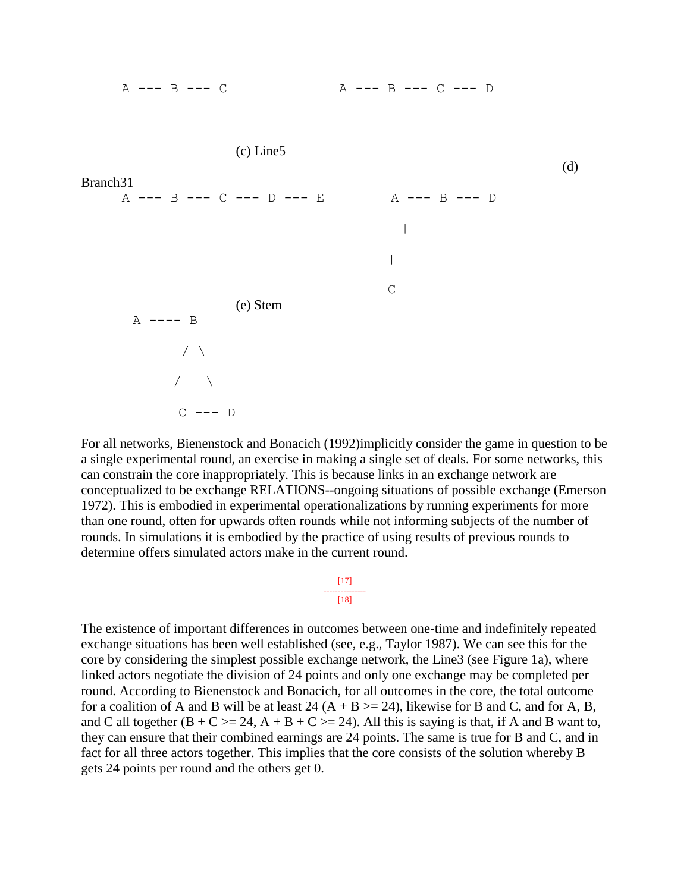

For all networks, Bienenstock and Bonacich (1992)implicitly consider the game in question to be a single experimental round, an exercise in making a single set of deals. For some networks, this can constrain the core inappropriately. This is because links in an exchange network are conceptualized to be exchange RELATIONS--ongoing situations of possible exchange (Emerson 1972). This is embodied in experimental operationalizations by running experiments for more than one round, often for upwards often rounds while not informing subjects of the number of rounds. In simulations it is embodied by the practice of using results of previous rounds to determine offers simulated actors make in the current round.

> [17] ---------------  $[18]$

The existence of important differences in outcomes between one-time and indefinitely repeated exchange situations has been well established (see, e.g., Taylor 1987). We can see this for the core by considering the simplest possible exchange network, the Line3 (see Figure 1a), where linked actors negotiate the division of 24 points and only one exchange may be completed per round. According to Bienenstock and Bonacich, for all outcomes in the core, the total outcome for a coalition of A and B will be at least 24  $(A + B \ge 24)$ , likewise for B and C, and for A, B, and C all together  $(B + C \ge 24, A + B + C \ge 24)$ . All this is saying is that, if A and B want to, they can ensure that their combined earnings are 24 points. The same is true for B and C, and in fact for all three actors together. This implies that the core consists of the solution whereby B gets 24 points per round and the others get 0.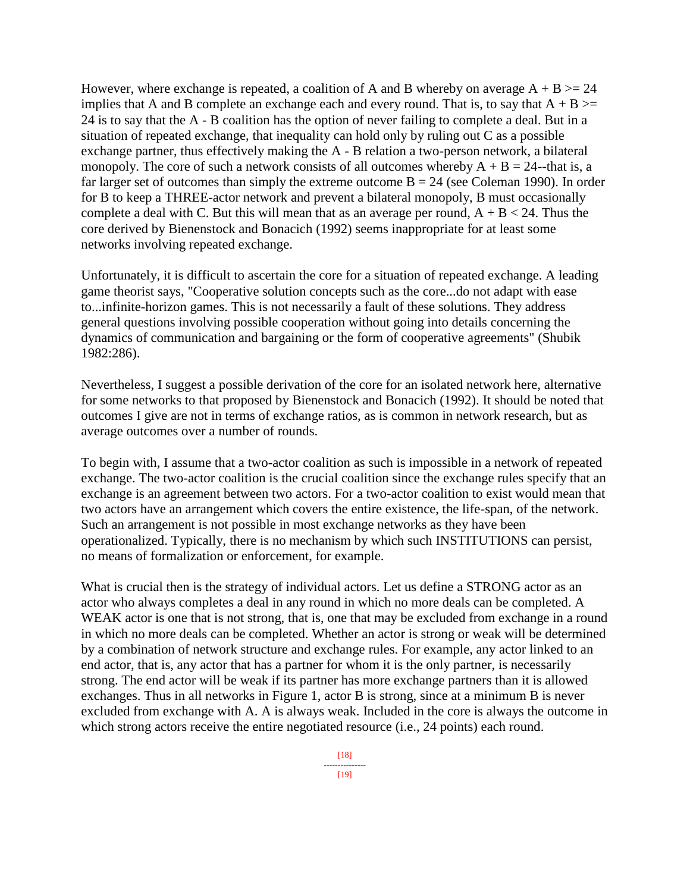However, where exchange is repeated, a coalition of A and B whereby on average  $A + B \ge 24$ implies that A and B complete an exchange each and every round. That is, to say that  $A + B \ge$ 24 is to say that the A - B coalition has the option of never failing to complete a deal. But in a situation of repeated exchange, that inequality can hold only by ruling out C as a possible exchange partner, thus effectively making the A - B relation a two-person network, a bilateral monopoly. The core of such a network consists of all outcomes whereby  $A + B = 24$ --that is, a far larger set of outcomes than simply the extreme outcome  $B = 24$  (see Coleman 1990). In order for B to keep a THREE-actor network and prevent a bilateral monopoly, B must occasionally complete a deal with C. But this will mean that as an average per round,  $A + B < 24$ . Thus the core derived by Bienenstock and Bonacich (1992) seems inappropriate for at least some networks involving repeated exchange.

Unfortunately, it is difficult to ascertain the core for a situation of repeated exchange. A leading game theorist says, "Cooperative solution concepts such as the core...do not adapt with ease to...infinite-horizon games. This is not necessarily a fault of these solutions. They address general questions involving possible cooperation without going into details concerning the dynamics of communication and bargaining or the form of cooperative agreements" (Shubik 1982:286).

Nevertheless, I suggest a possible derivation of the core for an isolated network here, alternative for some networks to that proposed by Bienenstock and Bonacich (1992). It should be noted that outcomes I give are not in terms of exchange ratios, as is common in network research, but as average outcomes over a number of rounds.

To begin with, I assume that a two-actor coalition as such is impossible in a network of repeated exchange. The two-actor coalition is the crucial coalition since the exchange rules specify that an exchange is an agreement between two actors. For a two-actor coalition to exist would mean that two actors have an arrangement which covers the entire existence, the life-span, of the network. Such an arrangement is not possible in most exchange networks as they have been operationalized. Typically, there is no mechanism by which such INSTITUTIONS can persist, no means of formalization or enforcement, for example.

What is crucial then is the strategy of individual actors. Let us define a STRONG actor as an actor who always completes a deal in any round in which no more deals can be completed. A WEAK actor is one that is not strong, that is, one that may be excluded from exchange in a round in which no more deals can be completed. Whether an actor is strong or weak will be determined by a combination of network structure and exchange rules. For example, any actor linked to an end actor, that is, any actor that has a partner for whom it is the only partner, is necessarily strong. The end actor will be weak if its partner has more exchange partners than it is allowed exchanges. Thus in all networks in Figure 1, actor B is strong, since at a minimum B is never excluded from exchange with A. A is always weak. Included in the core is always the outcome in which strong actors receive the entire negotiated resource (i.e., 24 points) each round.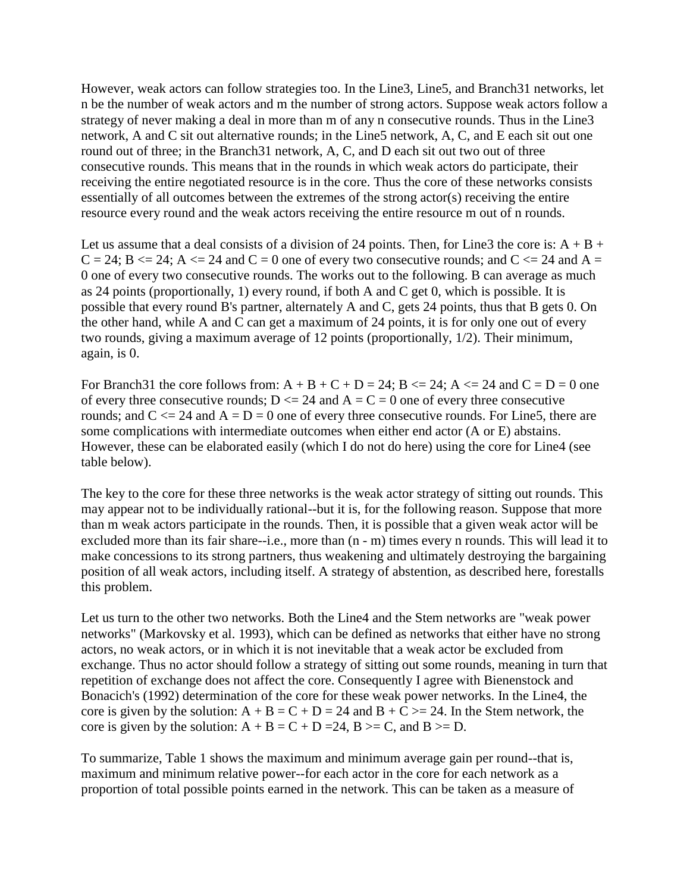However, weak actors can follow strategies too. In the Line3, Line5, and Branch31 networks, let n be the number of weak actors and m the number of strong actors. Suppose weak actors follow a strategy of never making a deal in more than m of any n consecutive rounds. Thus in the Line3 network, A and C sit out alternative rounds; in the Line5 network, A, C, and E each sit out one round out of three; in the Branch31 network, A, C, and D each sit out two out of three consecutive rounds. This means that in the rounds in which weak actors do participate, their receiving the entire negotiated resource is in the core. Thus the core of these networks consists essentially of all outcomes between the extremes of the strong actor(s) receiving the entire resource every round and the weak actors receiving the entire resource m out of n rounds.

Let us assume that a deal consists of a division of 24 points. Then, for Line3 the core is:  $A + B +$  $C = 24$ ;  $B \le 24$ ;  $A \le 24$  and  $C = 0$  one of every two consecutive rounds; and  $C \le 24$  and  $A =$ 0 one of every two consecutive rounds. The works out to the following. B can average as much as 24 points (proportionally, 1) every round, if both A and C get 0, which is possible. It is possible that every round B's partner, alternately A and C, gets 24 points, thus that B gets 0. On the other hand, while A and C can get a maximum of 24 points, it is for only one out of every two rounds, giving a maximum average of 12 points (proportionally, 1/2). Their minimum, again, is 0.

For Branch 31 the core follows from:  $A + B + C + D = 24$ ;  $B \le 24$ ;  $A \le 24$  and  $C = D = 0$  one of every three consecutive rounds;  $D \le 24$  and  $A = C = 0$  one of every three consecutive rounds; and  $C \le 24$  and  $A = D = 0$  one of every three consecutive rounds. For Line5, there are some complications with intermediate outcomes when either end actor (A or E) abstains. However, these can be elaborated easily (which I do not do here) using the core for Line4 (see table below).

The key to the core for these three networks is the weak actor strategy of sitting out rounds. This may appear not to be individually rational--but it is, for the following reason. Suppose that more than m weak actors participate in the rounds. Then, it is possible that a given weak actor will be excluded more than its fair share--i.e., more than (n - m) times every n rounds. This will lead it to make concessions to its strong partners, thus weakening and ultimately destroying the bargaining position of all weak actors, including itself. A strategy of abstention, as described here, forestalls this problem.

Let us turn to the other two networks. Both the Line4 and the Stem networks are "weak power networks" (Markovsky et al. 1993), which can be defined as networks that either have no strong actors, no weak actors, or in which it is not inevitable that a weak actor be excluded from exchange. Thus no actor should follow a strategy of sitting out some rounds, meaning in turn that repetition of exchange does not affect the core. Consequently I agree with Bienenstock and Bonacich's (1992) determination of the core for these weak power networks. In the Line4, the core is given by the solution:  $A + B = C + D = 24$  and  $B + C \ge 24$ . In the Stem network, the core is given by the solution:  $A + B = C + D = 24$ ,  $B \ge C$ , and  $B \ge D$ .

To summarize, Table 1 shows the maximum and minimum average gain per round--that is, maximum and minimum relative power--for each actor in the core for each network as a proportion of total possible points earned in the network. This can be taken as a measure of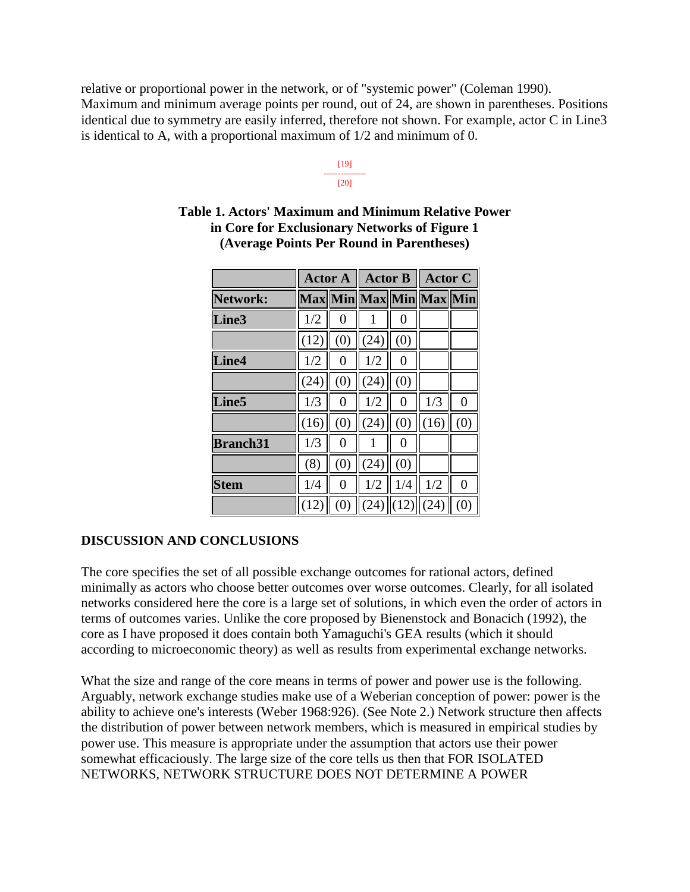relative or proportional power in the network, or of "systemic power" (Coleman 1990). Maximum and minimum average points per round, out of 24, are shown in parentheses. Positions identical due to symmetry are easily inferred, therefore not shown. For example, actor C in Line3 is identical to A, with a proportional maximum of 1/2 and minimum of 0.

> [19] --------------- [20]

|                   | <b>Actor A</b> |     | <b>Actor B</b>          |                | <b>Actor C</b> |                |
|-------------------|----------------|-----|-------------------------|----------------|----------------|----------------|
| Network:          |                |     | Max Min Max Min Max Min |                |                |                |
| Line3             | 1/2            | 0   | 1                       | 0              |                |                |
|                   | (12)           | (0) | (24)                    | (0)            |                |                |
| Line4             | 1/2            | 0   | 1/2                     | 0              |                |                |
|                   | (24)           | (0) | (24)                    | (0)            |                |                |
| Line <sub>5</sub> | 1/3            | 0   | 1/2                     | 0              | 1/3            | $\overline{0}$ |
|                   | (16)           | (0) | (24)                    | (0)            | (16)           | (0)            |
| <b>Branch31</b>   | 1/3            | 0   | 1                       | $\overline{0}$ |                |                |
|                   | (8)            | (0) | (24)                    | (0)            |                |                |
| <b>Stem</b>       | 1/4            | 0   | 1/2                     | 1/4            | 1/2            | $\overline{0}$ |
|                   | (12)           | (0) |                         | $(24)$ (12)    | (24)           | (0)            |

#### **Table 1. Actors' Maximum and Minimum Relative Power in Core for Exclusionary Networks of Figure 1 (Average Points Per Round in Parentheses)**

## **DISCUSSION AND CONCLUSIONS**

The core specifies the set of all possible exchange outcomes for rational actors, defined minimally as actors who choose better outcomes over worse outcomes. Clearly, for all isolated networks considered here the core is a large set of solutions, in which even the order of actors in terms of outcomes varies. Unlike the core proposed by Bienenstock and Bonacich (1992), the core as I have proposed it does contain both Yamaguchi's GEA results (which it should according to microeconomic theory) as well as results from experimental exchange networks.

What the size and range of the core means in terms of power and power use is the following. Arguably, network exchange studies make use of a Weberian conception of power: power is the ability to achieve one's interests (Weber 1968:926). (See Note 2.) Network structure then affects the distribution of power between network members, which is measured in empirical studies by power use. This measure is appropriate under the assumption that actors use their power somewhat efficaciously. The large size of the core tells us then that FOR ISOLATED NETWORKS, NETWORK STRUCTURE DOES NOT DETERMINE A POWER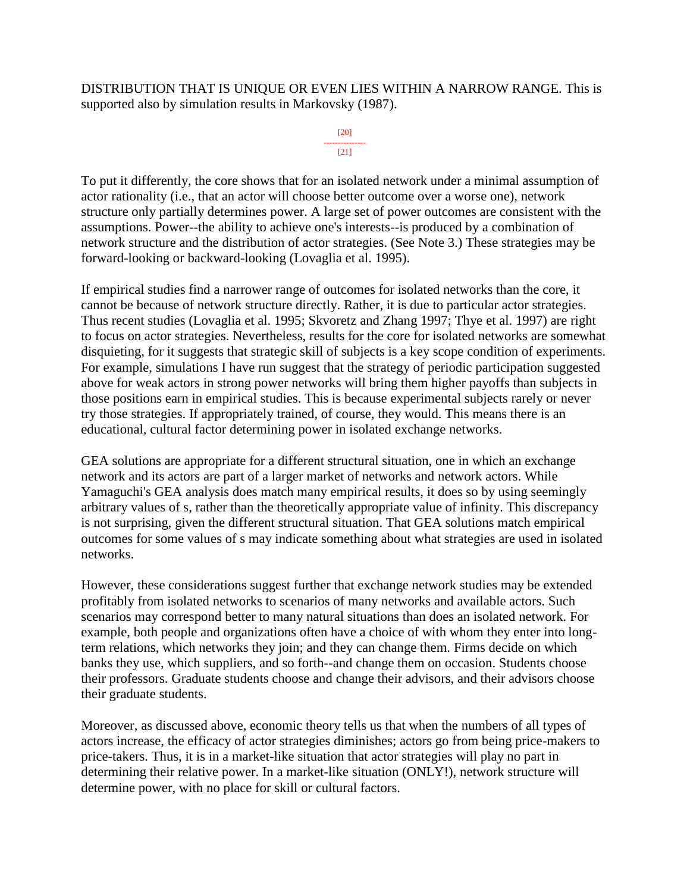DISTRIBUTION THAT IS UNIQUE OR EVEN LIES WITHIN A NARROW RANGE. This is supported also by simulation results in Markovsky (1987).

#### [20] --------------- [21]

To put it differently, the core shows that for an isolated network under a minimal assumption of actor rationality (i.e., that an actor will choose better outcome over a worse one), network structure only partially determines power. A large set of power outcomes are consistent with the assumptions. Power--the ability to achieve one's interests--is produced by a combination of network structure and the distribution of actor strategies. (See Note 3.) These strategies may be forward-looking or backward-looking (Lovaglia et al. 1995).

If empirical studies find a narrower range of outcomes for isolated networks than the core, it cannot be because of network structure directly. Rather, it is due to particular actor strategies. Thus recent studies (Lovaglia et al. 1995; Skvoretz and Zhang 1997; Thye et al. 1997) are right to focus on actor strategies. Nevertheless, results for the core for isolated networks are somewhat disquieting, for it suggests that strategic skill of subjects is a key scope condition of experiments. For example, simulations I have run suggest that the strategy of periodic participation suggested above for weak actors in strong power networks will bring them higher payoffs than subjects in those positions earn in empirical studies. This is because experimental subjects rarely or never try those strategies. If appropriately trained, of course, they would. This means there is an educational, cultural factor determining power in isolated exchange networks.

GEA solutions are appropriate for a different structural situation, one in which an exchange network and its actors are part of a larger market of networks and network actors. While Yamaguchi's GEA analysis does match many empirical results, it does so by using seemingly arbitrary values of s, rather than the theoretically appropriate value of infinity. This discrepancy is not surprising, given the different structural situation. That GEA solutions match empirical outcomes for some values of s may indicate something about what strategies are used in isolated networks.

However, these considerations suggest further that exchange network studies may be extended profitably from isolated networks to scenarios of many networks and available actors. Such scenarios may correspond better to many natural situations than does an isolated network. For example, both people and organizations often have a choice of with whom they enter into longterm relations, which networks they join; and they can change them. Firms decide on which banks they use, which suppliers, and so forth--and change them on occasion. Students choose their professors. Graduate students choose and change their advisors, and their advisors choose their graduate students.

Moreover, as discussed above, economic theory tells us that when the numbers of all types of actors increase, the efficacy of actor strategies diminishes; actors go from being price-makers to price-takers. Thus, it is in a market-like situation that actor strategies will play no part in determining their relative power. In a market-like situation (ONLY!), network structure will determine power, with no place for skill or cultural factors.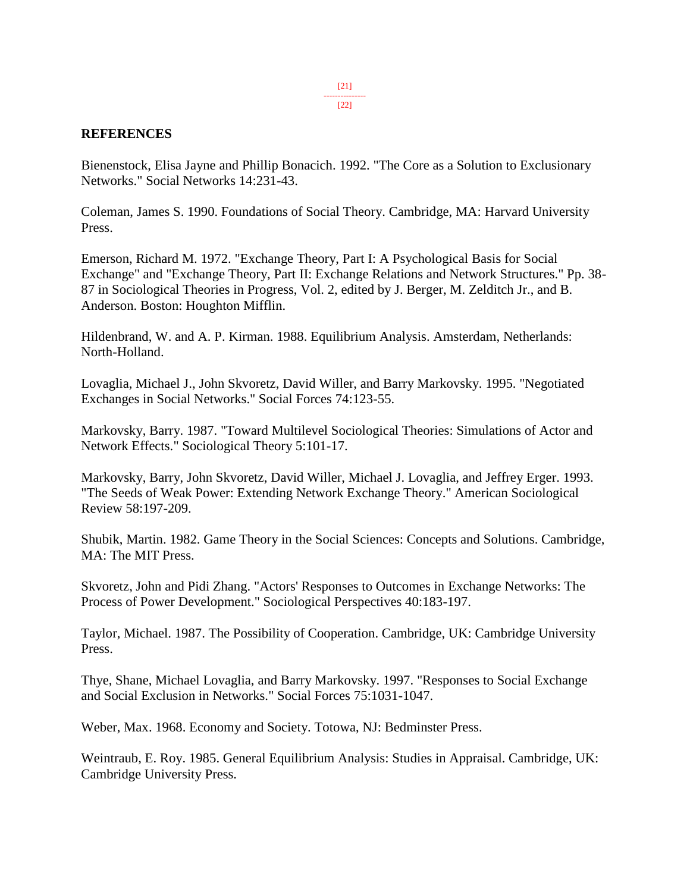#### **REFERENCES**

Bienenstock, Elisa Jayne and Phillip Bonacich. 1992. "The Core as a Solution to Exclusionary Networks." Social Networks 14:231-43.

Coleman, James S. 1990. Foundations of Social Theory. Cambridge, MA: Harvard University Press.

Emerson, Richard M. 1972. "Exchange Theory, Part I: A Psychological Basis for Social Exchange" and "Exchange Theory, Part II: Exchange Relations and Network Structures." Pp. 38- 87 in Sociological Theories in Progress, Vol. 2, edited by J. Berger, M. Zelditch Jr., and B. Anderson. Boston: Houghton Mifflin.

Hildenbrand, W. and A. P. Kirman. 1988. Equilibrium Analysis. Amsterdam, Netherlands: North-Holland.

Lovaglia, Michael J., John Skvoretz, David Willer, and Barry Markovsky. 1995. "Negotiated Exchanges in Social Networks." Social Forces 74:123-55.

Markovsky, Barry. 1987. "Toward Multilevel Sociological Theories: Simulations of Actor and Network Effects." Sociological Theory 5:101-17.

Markovsky, Barry, John Skvoretz, David Willer, Michael J. Lovaglia, and Jeffrey Erger. 1993. "The Seeds of Weak Power: Extending Network Exchange Theory." American Sociological Review 58:197-209.

Shubik, Martin. 1982. Game Theory in the Social Sciences: Concepts and Solutions. Cambridge, MA: The MIT Press.

Skvoretz, John and Pidi Zhang. "Actors' Responses to Outcomes in Exchange Networks: The Process of Power Development." Sociological Perspectives 40:183-197.

Taylor, Michael. 1987. The Possibility of Cooperation. Cambridge, UK: Cambridge University Press.

Thye, Shane, Michael Lovaglia, and Barry Markovsky. 1997. "Responses to Social Exchange and Social Exclusion in Networks." Social Forces 75:1031-1047.

Weber, Max. 1968. Economy and Society. Totowa, NJ: Bedminster Press.

Weintraub, E. Roy. 1985. General Equilibrium Analysis: Studies in Appraisal. Cambridge, UK: Cambridge University Press.